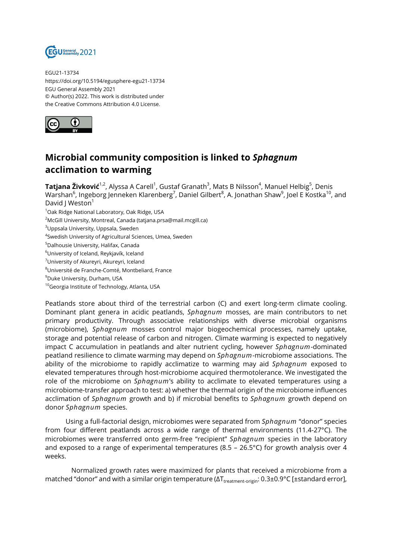

EGU21-13734 https://doi.org/10.5194/egusphere-egu21-13734 EGU General Assembly 2021 © Author(s) 2022. This work is distributed under the Creative Commons Attribution 4.0 License.



## **Microbial community composition is linked to** *Sphagnum* **acclimation to warming**

**Tatjana Živković<sup>1,2</sup>,** Alyssa A Carell<sup>1</sup>, Gustaf Granath<sup>3</sup>, Mats B Nilsson<sup>4</sup>, Manuel Helbig<sup>5</sup>, Denis Warshan $^6$ , Ingeborg Jenneken Klarenberg $^7$ , Daniel Gilbert $^8$ , A. Jonathan Shaw $^9$ , Joel E Kostka $^{10}$ , and David J Weston<sup>1</sup>

<sup>1</sup>Oak Ridge National Laboratory, Oak Ridge, USA

<sup>2</sup>McGill University, Montreal, Canada (tatjana.prsa@mail.mcgill.ca)

<sup>3</sup>Uppsala University, Uppsala, Sweden

4 Swedish University of Agricultural Sciences, Umea, Sweden

<sup>5</sup>Dalhousie University, Halifax, Canada

<sup>6</sup>University of Iceland, Reykjavík, Iceland

<sup>7</sup>University of Akureyri, Akureyri, Iceland

<sup>8</sup>Université de Franche-Comté, Montbeliard, France

<sup>9</sup>Duke University, Durham, USA

<sup>10</sup>Georgia Institute of Technology, Atlanta, USA

Peatlands store about third of the terrestrial carbon (C) and exert long-term climate cooling. Dominant plant genera in acidic peatlands, *Sphagnum* mosses, are main contributors to net primary productivity. Through associative relationships with diverse microbial organisms (microbiome), *Sphagnum* mosses control major biogeochemical processes, namely uptake, storage and potential release of carbon and nitrogen. Climate warming is expected to negatively impact C accumulation in peatlands and alter nutrient cycling, however *Sphagnum*-dominated peatland resilience to climate warming may depend on *Sphagnum*-microbiome associations. The ability of the microbiome to rapidly acclimatize to warming may aid *Sphagnum* exposed to elevated temperatures through host-microbiome acquired thermotolerance. We investigated the role of the microbiome on *Sphagnum*'s ability to acclimate to elevated temperatures using a microbiome-transfer approach to test: a) whether the thermal origin of the microbiome influences acclimation of *Sphagnum* growth and b) if microbial benefits to *Sphagnum* growth depend on donor *Sphagnum* species.

Using a full-factorial design, microbiomes were separated from *Sphagnum* "donor" species from four different peatlands across a wide range of thermal environments (11.4-27°C). The microbiomes were transferred onto germ-free "recipient" *Sphagnum* species in the laboratory and exposed to a range of experimental temperatures (8.5 – 26.5°C) for growth analysis over 4 weeks.

Normalized growth rates were maximized for plants that received a microbiome from a matched "donor" and with a similar origin temperature (ΔT<sub>treatment-origin</sub>: 0.3±0.9°C [±standard error],